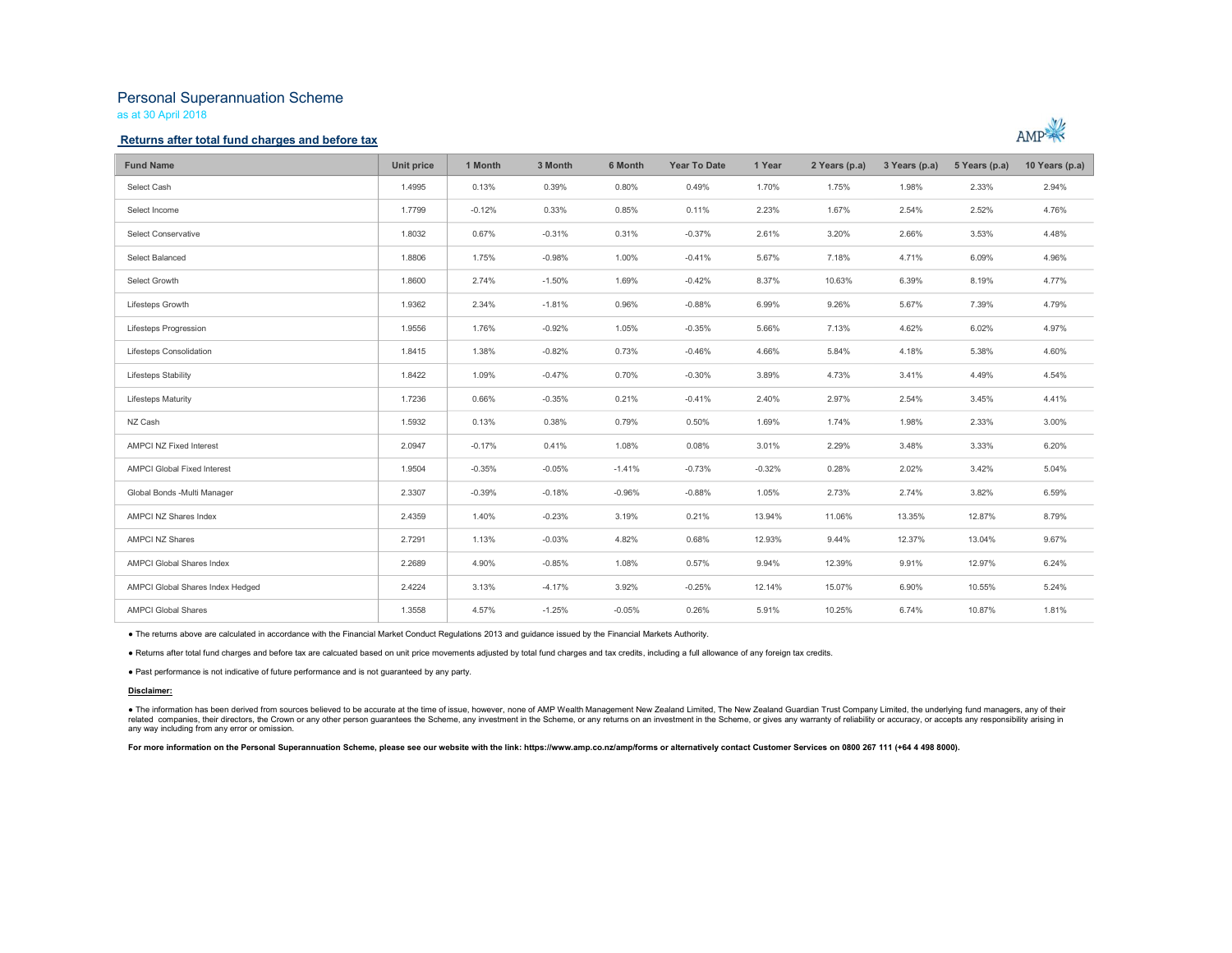# Personal Superannuation Scheme

as at 30 April 2018

### Returns after total fund charges and before tax



| <b>Fund Name</b>                   | Unit price | 1 Month  | 3 Month  | 6 Month  | <b>Year To Date</b> | 1 Year   | 2 Years (p.a) | 3 Years (p.a) | 5 Years (p.a) | 10 Years (p.a) |
|------------------------------------|------------|----------|----------|----------|---------------------|----------|---------------|---------------|---------------|----------------|
| Select Cash                        | 1.4995     | 0.13%    | 0.39%    | 0.80%    | 0.49%               | 1.70%    | 1.75%         | 1.98%         | 2.33%         | 2.94%          |
| Select Income                      | 1,7799     | $-0.12%$ | 0.33%    | 0.85%    | 0.11%               | 2.23%    | 1.67%         | 2.54%         | 2.52%         | 4.76%          |
| Select Conservative                | 1.8032     | 0.67%    | $-0.31%$ | 0.31%    | $-0.37%$            | 2.61%    | 3.20%         | 2.66%         | 3.53%         | 4.48%          |
| Select Balanced                    | 1.8806     | 1.75%    | $-0.98%$ | 1.00%    | $-0.41%$            | 5.67%    | 7.18%         | 4.71%         | 6.09%         | 4.96%          |
| Select Growth                      | 1.8600     | 2.74%    | $-1.50%$ | 1.69%    | $-0.42%$            | 8.37%    | 10.63%        | 6.39%         | 8.19%         | 4.77%          |
| Lifesteps Growth                   | 1.9362     | 2.34%    | $-1.81%$ | 0.96%    | $-0.88%$            | 6.99%    | 9.26%         | 5.67%         | 7.39%         | 4.79%          |
| Lifesteps Progression              | 1.9556     | 1.76%    | $-0.92%$ | 1.05%    | $-0.35%$            | 5.66%    | 7.13%         | 4.62%         | 6.02%         | 4.97%          |
| Lifesteps Consolidation            | 1.8415     | 1.38%    | $-0.82%$ | 0.73%    | $-0.46%$            | 4.66%    | 5.84%         | 4.18%         | 5.38%         | 4.60%          |
| Lifesteps Stability                | 1.8422     | 1.09%    | $-0.47%$ | 0.70%    | $-0.30%$            | 3.89%    | 4.73%         | 3.41%         | 4.49%         | 4.54%          |
| <b>Lifesteps Maturity</b>          | 1,7236     | 0.66%    | $-0.35%$ | 0.21%    | $-0.41%$            | 2.40%    | 2.97%         | 2.54%         | 3.45%         | 4.41%          |
| NZ Cash                            | 1.5932     | 0.13%    | 0.38%    | 0.79%    | 0.50%               | 1.69%    | 1.74%         | 1.98%         | 2.33%         | 3.00%          |
| <b>AMPCI NZ Fixed Interest</b>     | 2.0947     | $-0.17%$ | 0.41%    | 1.08%    | 0.08%               | 3.01%    | 2.29%         | 3.48%         | 3.33%         | 6.20%          |
| <b>AMPCI Global Fixed Interest</b> | 1.9504     | $-0.35%$ | $-0.05%$ | $-1.41%$ | $-0.73%$            | $-0.32%$ | 0.28%         | 2.02%         | 3.42%         | 5.04%          |
| Global Bonds - Multi Manager       | 2.3307     | $-0.39%$ | $-0.18%$ | $-0.96%$ | $-0.88%$            | 1.05%    | 2.73%         | 2.74%         | 3.82%         | 6.59%          |
| AMPCI NZ Shares Index              | 2.4359     | 1.40%    | $-0.23%$ | 3.19%    | 0.21%               | 13.94%   | 11.06%        | 13.35%        | 12.87%        | 8.79%          |
| <b>AMPCI NZ Shares</b>             | 2.7291     | 1.13%    | $-0.03%$ | 4.82%    | 0.68%               | 12.93%   | 9.44%         | 12.37%        | 13.04%        | 9.67%          |
| AMPCI Global Shares Index          | 2.2689     | 4.90%    | $-0.85%$ | 1.08%    | 0.57%               | 9.94%    | 12.39%        | 9.91%         | 12.97%        | 6.24%          |
| AMPCI Global Shares Index Hedged   | 2.4224     | 3.13%    | $-4.17%$ | 3.92%    | $-0.25%$            | 12.14%   | 15.07%        | 6.90%         | 10.55%        | 5.24%          |
| <b>AMPCI Global Shares</b>         | 1.3558     | 4.57%    | $-1.25%$ | $-0.05%$ | 0.26%               | 5.91%    | 10.25%        | 6.74%         | 10.87%        | 1.81%          |

■ The returns above are calculated in accordance with the Financial Market Conduct Regulations 2013 and guidance issued by the Financial Markets Authority.<br>■ Returns after total fund charges and before tax are calcuated b

#### Disclaimer:

● The information has been derived from sources believed to be accurate at the time of issue, however, none of AMP Wealth Management New Zealand Limited, The New Zealand Guardian Trust Company Limited, the underlying fund any way including from any error or omission.

For more information on the Personal Superannuation Scheme, please see our website with the link: https://www.amp.co.nz/amp/forms or alternatively contact Customer Services on 0800 267 111 (+64 4 498 8000).